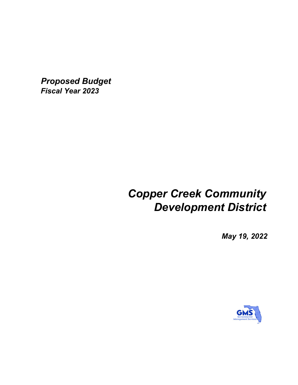*Proposed Budget Fiscal Year 2023*

# *Copper Creek Community Development District*

*May 19, 2022*

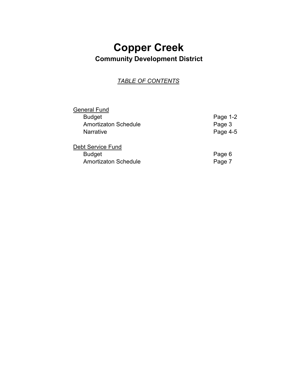## **Copper Creek Community Development District**

## *TABLE OF CONTENTS*

| <b>General Fund</b>         |          |
|-----------------------------|----------|
| <b>Budget</b>               | Page 1-2 |
| <b>Amortizaton Schedule</b> | Page 3   |
| <b>Narrative</b>            | Page 4-5 |
| <b>Debt Service Fund</b>    |          |
| <b>Budget</b>               | Page 6   |
| <b>Amortizaton Schedule</b> | Page 7   |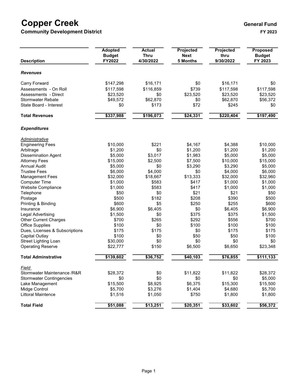## **Copper Creek** extending the computation of the control of the control of the control of the control of the control of the control of the control of the control of the control of the control of the control of the control o

**Community Development District FY 2023**

| <b>Description</b>              | <b>Adopted</b><br><b>Budget</b><br>FY2022 | <b>Actual</b><br><b>Thru</b><br>4/30/2022 | Projected<br><b>Next</b><br>5 Months | Projected<br>thru<br>9/30/2022 | <b>Proposed</b><br><b>Budget</b><br>FY 2023 |
|---------------------------------|-------------------------------------------|-------------------------------------------|--------------------------------------|--------------------------------|---------------------------------------------|
| <b>Revenues</b>                 |                                           |                                           |                                      |                                |                                             |
| Carry Forward                   | \$147,298                                 | \$16,171                                  | \$0                                  | \$16,171                       | \$0                                         |
| Assessments - On Roll           | \$117,598                                 | \$116,859                                 | \$739                                | \$117,598                      | \$117,598                                   |
| Assessments - Direct            | \$23,520                                  | \$0                                       | \$23,520                             | \$23,520                       | \$23,520                                    |
| <b>Stormwater Rebate</b>        | \$49,572                                  | \$62,870                                  | \$0                                  | \$62,870                       | \$56,372                                    |
| State Board - Interest          | \$0                                       | \$173                                     | \$72                                 | \$245                          | \$0                                         |
| <b>Total Revenues</b>           | \$337,988                                 | \$196,073                                 | \$24,331                             | \$220,404                      | \$197,490                                   |
| <b>Expenditures</b>             |                                           |                                           |                                      |                                |                                             |
| Administrative                  |                                           |                                           |                                      |                                |                                             |
| <b>Engineering Fees</b>         | \$10,000                                  | \$221                                     | \$4,167                              | \$4,388                        | \$10,000                                    |
| Arbitrage                       | \$1,200                                   | \$0                                       | \$1,200                              | \$1,200                        | \$1,200                                     |
| <b>Dissemination Agent</b>      | \$5,000                                   | \$3,017                                   | \$1,983                              | \$5,000                        | \$5,000                                     |
| <b>Attorney Fees</b>            | \$15,000                                  | \$2,500                                   | \$7,500                              | \$10,000                       | \$15,000                                    |
| <b>Annual Audit</b>             | \$5,000                                   | \$0                                       | \$3,290                              | \$3,290                        | \$5,000                                     |
| <b>Trustee Fees</b>             | \$6,000                                   | \$4,000                                   | \$0                                  | \$4,000                        | \$6,000                                     |
| <b>Management Fees</b>          | \$32,000                                  | \$18,667                                  | \$13,333                             | \$32,000                       | \$32,960                                    |
| <b>Computer Time</b>            | \$1,000                                   | \$583                                     | \$417                                | \$1,000                        | \$1,000                                     |
| Website Compliance              | \$1,000                                   | \$583                                     | \$417                                | \$1,000                        | \$1,000                                     |
| Telephone                       | \$50                                      | \$0                                       | \$21                                 | \$21                           | \$50                                        |
| Postage                         | \$500                                     | \$182                                     | \$208                                | \$390                          | \$500                                       |
| Printing & Binding              | \$600                                     | \$5                                       | \$250                                | \$255                          | \$600                                       |
| Insurance                       | \$6,900                                   | \$6,405                                   | \$0                                  | \$6,405                        | \$6,900                                     |
| Legal Advertising               | \$1,500                                   | \$0                                       | \$375                                | \$375                          | \$1,500                                     |
| <b>Other Current Charges</b>    | \$700                                     | \$265                                     | \$292                                | \$556                          | \$700                                       |
| Office Supplies                 | \$100                                     | \$0                                       | \$100                                | \$100                          | \$100                                       |
| Dues, Licenses & Subscriptions  | \$175                                     | \$175                                     | \$0                                  | \$175                          | \$175                                       |
| Capital Outlay                  | \$100                                     | \$0                                       | \$50                                 | \$50                           | \$100                                       |
| Street Lighting Loan            | \$30,000                                  | \$0                                       | \$0                                  | \$0                            | \$0                                         |
| <b>Operating Reserve</b>        | \$22,777                                  | \$150                                     | \$6,500                              | \$6,650                        | \$23,348                                    |
| <b>Total Adminstrative</b>      | \$139,602                                 | \$36,752                                  | \$40,103                             | \$76,855                       | \$111,133                                   |
| <b>Field</b>                    |                                           |                                           |                                      |                                |                                             |
| Stormwater Maintenance / R& R   | \$28,372                                  | \$0                                       | \$11,822                             | \$11,822                       | \$28,372                                    |
| <b>Stormwater Contingencies</b> | \$0                                       | \$0                                       | \$0                                  | \$0                            | \$5,000                                     |
| Lake Management                 | \$15,500                                  | \$8,925                                   | \$6,375                              | \$15,300                       | \$15,500                                    |
| Midge Control                   | \$5,700                                   | \$3,276                                   | \$1,404                              | \$4,680                        | \$5,700                                     |
| Littoral Maintence              | \$1,516                                   | \$1,050                                   | \$750                                | \$1,800                        | \$1,800                                     |
| <b>Total Field</b>              | \$51,088                                  | \$13,251                                  | \$20,351                             | \$33,602                       | \$56,372                                    |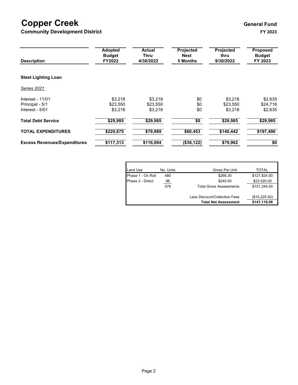## **Copper Creek** extending the computation of the control of the control of the control of the control of the control of the control of the control of the control of the control of the control of the control of the control o

**Community Development District FY 2023**

| <b>Description</b>                  | <b>Adopted</b><br><b>Budget</b><br>FY2022 | <b>Actual</b><br>Thru<br>4/30/2022 | Projected<br>Next<br><b>5 Months</b> | Projected<br>thru<br>9/30/2022 | <b>Proposed</b><br><b>Budget</b><br>FY 2023 |
|-------------------------------------|-------------------------------------------|------------------------------------|--------------------------------------|--------------------------------|---------------------------------------------|
| <b>Steet Lighting Loan</b>          |                                           |                                    |                                      |                                |                                             |
| Series 2021                         |                                           |                                    |                                      |                                |                                             |
| Interest - 11/01                    | \$3.218                                   | \$3,218                            | \$0                                  | \$3,218                        | \$2,635                                     |
| Principal - 5/1                     | \$23,550                                  | \$23,550                           | \$0                                  | \$23.550                       | \$24,716                                    |
| Interest - 5/01                     | \$3,218                                   | \$3,218                            | \$0                                  | \$3,218                        | \$2,635                                     |
| <b>Total Debt Service</b>           | \$29,985                                  | \$29,985                           | $\sqrt{6}$                           | \$29,985                       | \$29,985                                    |
| <b>TOTAL EXPENDITURES</b>           | \$220,675                                 | \$79,989                           | \$60,453                             | \$140,442                      | \$197,490                                   |
| <b>Excess Revenues/Expenditures</b> | \$117,313                                 | \$116,084                          | (\$36,122)                           | \$79,962                       | \$0                                         |

| Land Use          | No. Units | Gross Per Unit                 | TOTAL         |
|-------------------|-----------|--------------------------------|---------------|
| Phase 1 - On Roll | 480       | \$266.30                       | \$127,824.00  |
| Phase 2 - Direct  | 96        | \$245.00                       | \$23,520.00   |
|                   | 576       | <b>Total Gross Assessments</b> | \$151,344.00  |
|                   |           | Less Discount/Collection Fees  | (\$10,225.92) |
|                   |           | <b>Total Net Assessment</b>    | \$141,118.08  |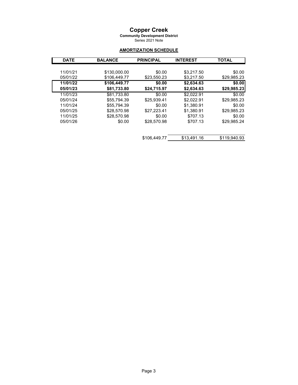## **Copper Creek**

**Community Development District**

Series 2021 Note

### **AMORTIZATION SCHEDULE**

| <b>DATE</b> | <b>BALANCE</b> | <b>PRINCIPAL</b> | <b>INTEREST</b> | <b>TOTAL</b> |
|-------------|----------------|------------------|-----------------|--------------|
|             |                |                  |                 |              |
| 11/01/21    | \$130,000.00   | \$0.00           | \$3.217.50      | \$0.00       |
| 05/01/22    | \$106,449.77   | \$23,550.23      | \$3,217.50      | \$29,985.23  |
| 11/01/22    | \$106,449.77   | \$0.00           | \$2,634.63      | \$0.00       |
| 05/01/23    | \$81,733.80    | \$24,715.97      | \$2,634.63      | \$29,985.23  |
| 11/01/23    | \$81.733.80    | \$0.00           | \$2.022.91      | \$0.00       |
| 05/01/24    | \$55,794.39    | \$25,939.41      | \$2.022.91      | \$29.985.23  |
| 11/01/24    | \$55.794.39    | \$0.00           | \$1.380.91      | \$0.00       |
| 05/01/25    | \$28,570.98    | \$27.223.41      | \$1.380.91      | \$29.985.23  |
| 11/01/25    | \$28,570.98    | \$0.00           | \$707.13        | \$0.00       |
| 05/01/26    | \$0.00         | \$28.570.98      | \$707.13        | \$29.985.24  |
|             |                |                  |                 |              |
|             |                |                  |                 |              |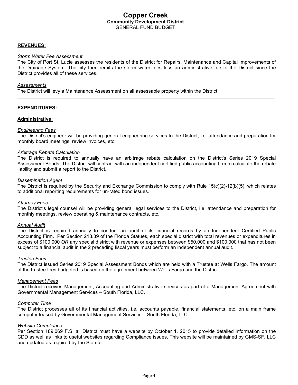### **Copper Creek Community Development District** GENERAL FUND BUDGET

#### **REVENUES:**

#### *Storm Water Fee Assessment*

The City of Port St. Lucie assesses the residents of the District for Repairs, Maintenance and Capital Improvements of the Drainage System. The city then remits the storm water fees less an administrative fee to the District since the District provides all of these services.

\_\_\_\_\_\_\_\_\_\_\_\_\_\_\_\_\_\_\_\_\_\_\_\_\_\_\_\_\_\_\_\_\_\_\_\_\_\_\_\_\_\_\_\_\_\_\_\_\_\_\_\_\_\_\_\_\_\_\_\_\_\_\_\_\_\_\_\_\_\_\_\_\_\_\_\_\_\_\_\_\_\_\_\_\_\_\_\_\_\_\_\_\_\_\_

#### *Assessments*

The District will levy a Maintenance Assessment on all assessable property within the District.

#### **EXPENDITURES:**

#### **Administrative:**

#### *Engineering Fees*

The District's engineer will be providing general engineering services to the District, i.e. attendance and preparation for monthly board meetings, review invoices, etc.

#### *Arbitrage Rebate Calculation*

The District is required to annually have an arbitrage rebate calculation on the District's Series 2019 Special Assessment Bonds. The District will contract with an independent certified public accounting firm to calculate the rebate liability and submit a report to the District.

#### *Dissemination Agent*

The District is required by the Security and Exchange Commission to comply with Rule 15(c)(2)-12(b)(5), which relates to additional reporting requirements for un-rated bond issues.

#### *Attorney Fees*

The District's legal counsel will be providing general legal services to the District, i.e. attendance and preparation for monthly meetings, review operating & maintenance contracts, etc.

#### *Annual Audit*

The District is required annually to conduct an audit of its financial records by an Independent Certified Public Accounting Firm. Per Section 218.39 of the Florida Statues, each special district with total revenues or expenditures in excess of \$100,000 *OR* any special district with revenue or expenses between \$50,000 and \$100,000 that has not been subject to a financial audit in the 2 preceding fiscal years must perform an independent annual audit.

#### *Trustee Fees*

The District issued Series 2019 Special Assessment Bonds which are held with a Trustee at Wells Fargo. The amount of the trustee fees budgeted is based on the agreement between Wells Fargo and the District.

#### *Management Fees*

The District receives Management, Accounting and Administrative services as part of a Management Agreement with Governmental Management Services – South Florida, LLC.

#### *Computer Time*

The District processes all of its financial activities, i.e. accounts payable, financial statements, etc. on a main frame computer leased by Governmental Management Services – South Florida, LLC.

#### *Website Compliance*

Per Section 189.069 F.S, all District must have a website by October 1, 2015 to provide detailed information on the CDD as well as links to useful websites regarding Compliance issues. This website will be maintained by GMS-SF, LLC and updated as required by the Statute.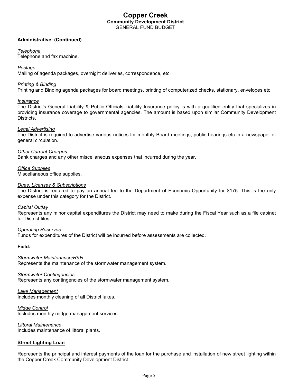### **Copper Creek Community Development District** GENERAL FUND BUDGET

#### **Administrative: (Continued)**

#### *Telephone*

Telephone and fax machine.

#### *Postage*

Mailing of agenda packages, overnight deliveries, correspondence, etc.

#### *Printing & Binding*

Printing and Binding agenda packages for board meetings, printing of computerized checks, stationary, envelopes etc.

#### *Insurance*

The District's General Liability & Public Officials Liability Insurance policy is with a qualified entity that specializes in providing insurance coverage to governmental agencies. The amount is based upon similar Community Development Districts.

#### *Legal Advertising*

The District is required to advertise various notices for monthly Board meetings, public hearings etc in a newspaper of general circulation.

*Other Current Charges* Bank charges and any other miscellaneous expenses that incurred during the year.

#### *Office Supplies*

Miscellaneous office supplies.

#### *Dues, Licenses & Subscriptions*

The District is required to pay an annual fee to the Department of Economic Opportunity for \$175. This is the only expense under this category for the District.

#### *Capital Outlay*

Represents any minor capital expenditures the District may need to make during the Fiscal Year such as a file cabinet for District files.

#### *Operating Reserves*

Funds for expenditures of the District will be incurred before assessments are collected.

#### **Field:**

*Stormwater Maintenance/R&R* Represents the maintenance of the stormwater management system.

#### *Stormwater Contingencies*

Represents any contingencies of the stormwater management system.

*Lake Management* Includes monthly cleaning of all District lakes.

*Midge Control* Includes monthly midge management services.

*Littoral Maintenance* Includes maintenance of littoral plants.

#### **Street Lighting Loan**

Represents the principal and interest payments of the loan for the purchase and installation of new street lighting within the Copper Creek Community Development District.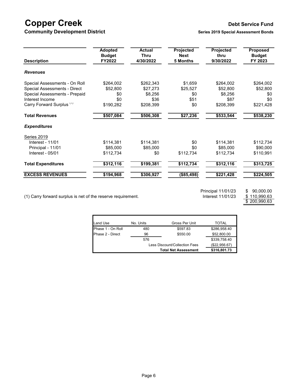## **Copper Creek Debt Service Fund**

**Community Development District <b>Series 2019** Series 2019 Special Assessment Bonds

| <b>Description</b>            | <b>Adopted</b><br><b>Budget</b><br>FY2022 | <b>Actual</b><br><b>Thru</b><br>4/30/2022 | Projected<br><b>Next</b><br><b>5 Months</b> | Projected<br>thru<br>9/30/2022 | <b>Proposed</b><br><b>Budget</b><br>FY 2023 |
|-------------------------------|-------------------------------------------|-------------------------------------------|---------------------------------------------|--------------------------------|---------------------------------------------|
| <b>Revenues</b>               |                                           |                                           |                                             |                                |                                             |
| Special Assessments - On Roll | \$264,002                                 | \$262,343                                 | \$1,659                                     | \$264,002                      | \$264,002                                   |
| Special Assessments - Direct  | \$52,800                                  | \$27,273                                  | \$25,527                                    | \$52,800                       | \$52,800                                    |
| Special Assessments - Prepaid | \$0                                       | \$8,256                                   | \$0                                         | \$8,256                        | \$0                                         |
| Interest Income               | \$0                                       | \$36                                      | \$51                                        | \$87                           | \$0                                         |
| Carry Forward Surplus (1)     | \$190,282                                 | \$208,399                                 | \$0                                         | \$208,399                      | \$221,428                                   |
| <b>Total Revenues</b>         | \$507,084                                 | \$506,308                                 | \$27,236                                    | \$533,544                      | \$538,230                                   |
| <b>Expenditures</b>           |                                           |                                           |                                             |                                |                                             |
| Series 2019                   |                                           |                                           |                                             |                                |                                             |
| Interest - 11/01              | \$114,381                                 | \$114,381                                 | \$0                                         | \$114,381                      | \$112,734                                   |
| Principal - 11/01             | \$85,000                                  | \$85,000                                  | \$0                                         | \$85,000                       | \$90,000                                    |
| Interest - 05/01              | \$112,734                                 | \$0                                       | \$112,734                                   | \$112,734                      | \$110,991                                   |
| <b>Total Expenditures</b>     | \$312,116                                 | \$199,381                                 | \$112,734                                   | \$312,116                      | \$313,725                                   |
| <b>EXCESS REVENUES</b>        | \$194,968                                 | \$306,927                                 | (\$85,498)                                  | \$221,428                      | \$224,505                                   |

(1) Carry forward surplus is net of the reserve requirement.

Ì

Principal 11/01/23 \$ 90,000.00<br>Interest 11/01/23 \$ 110,990.63

 $$\frac{$110,990.63}{$200,990.63}$ 

| <b>Land Use</b>   | No. Units                     | Gross Per Unit | TOTAL        |
|-------------------|-------------------------------|----------------|--------------|
| Phase 1 - On Roll | 480                           | \$597.83       | \$286,958.40 |
| Phase 2 - Direct  | 96                            | \$550.00       |              |
|                   | 576                           |                | \$339,758.40 |
|                   | Less Discount/Collection Fees | (\$22,956.67)  |              |
|                   | <b>Total Net Assessment</b>   | \$316,801.73   |              |